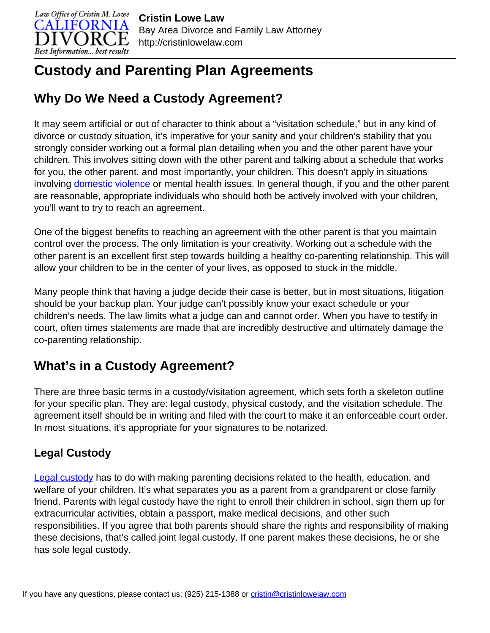

# **Custody and Parenting Plan Agreements**

## **Why Do We Need a Custody Agreement?**

It may seem artificial or out of character to think about a "visitation schedule," but in any kind of divorce or custody situation, it's imperative for your sanity and your children's stability that you strongly consider working out a formal plan detailing when you and the other parent have your children. This involves sitting down with the other parent and talking about a schedule that works for you, the other parent, and most importantly, your children. This doesn't apply in situations involving [domestic violence](http://cristinlowelaw.com/practice-areas/domestic-violence/) or mental health issues. In general though, if you and the other parent are reasonable, appropriate individuals who should both be actively involved with your children, you'll want to try to reach an agreement.

One of the biggest benefits to reaching an agreement with the other parent is that you maintain control over the process. The only limitation is your creativity. Working out a schedule with the other parent is an excellent first step towards building a healthy co-parenting relationship. This will allow your children to be in the center of your lives, as opposed to stuck in the middle.

Many people think that having a judge decide their case is better, but in most situations, litigation should be your backup plan. Your judge can't possibly know your exact schedule or your children's needs. The law limits what a judge can and cannot order. When you have to testify in court, often times statements are made that are incredibly destructive and ultimately damage the co-parenting relationship.

## **What's in a Custody Agreement?**

There are three basic terms in a custody/visitation agreement, which sets forth a skeleton outline for your specific plan. They are: legal custody, physical custody, and the visitation schedule. The agreement itself should be in writing and filed with the court to make it an enforceable court order. In most situations, it's appropriate for your signatures to be notarized.

### **Legal Custody**

**Legal custody** has to do with making parenting decisions related to the health, education, and welfare of your children. It's what separates you as a parent from a grandparent or close family friend. Parents with legal custody have the right to enroll their children in school, sign them up for extracurricular activities, obtain a passport, make medical decisions, and other such responsibilities. If you agree that both parents should share the rights and responsibility of making these decisions, that's called joint legal custody. If one parent makes these decisions, he or she has sole legal custody.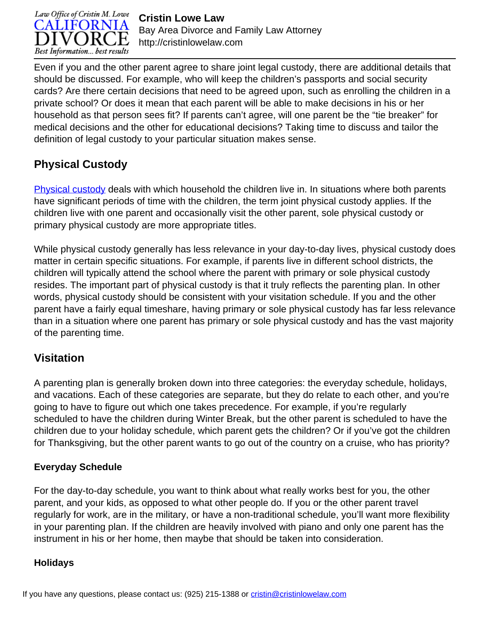

**Cristin Lowe Law** Bay Area Divorce and Family Law Attorney http://cristinlowelaw.com

Even if you and the other parent agree to share joint legal custody, there are additional details that should be discussed. For example, who will keep the children's passports and social security cards? Are there certain decisions that need to be agreed upon, such as enrolling the children in a private school? Or does it mean that each parent will be able to make decisions in his or her household as that person sees fit? If parents can't agree, will one parent be the "tie breaker" for medical decisions and the other for educational decisions? Taking time to discuss and tailor the definition of legal custody to your particular situation makes sense.

### **Physical Custody**

[Physical custody](http://cristinlowelaw.com/legal-and-physical-custody/) deals with which household the children live in. In situations where both parents have significant periods of time with the children, the term joint physical custody applies. If the children live with one parent and occasionally visit the other parent, sole physical custody or primary physical custody are more appropriate titles.

While physical custody generally has less relevance in your day-to-day lives, physical custody does matter in certain specific situations. For example, if parents live in different school districts, the children will typically attend the school where the parent with primary or sole physical custody resides. The important part of physical custody is that it truly reflects the parenting plan. In other words, physical custody should be consistent with your visitation schedule. If you and the other parent have a fairly equal timeshare, having primary or sole physical custody has far less relevance than in a situation where one parent has primary or sole physical custody and has the vast majority of the parenting time.

### **Visitation**

A parenting plan is generally broken down into three categories: the everyday schedule, holidays, and vacations. Each of these categories are separate, but they do relate to each other, and you're going to have to figure out which one takes precedence. For example, if you're regularly scheduled to have the children during Winter Break, but the other parent is scheduled to have the children due to your holiday schedule, which parent gets the children? Or if you've got the children for Thanksgiving, but the other parent wants to go out of the country on a cruise, who has priority?

#### **Everyday Schedule**

For the day-to-day schedule, you want to think about what really works best for you, the other parent, and your kids, as opposed to what other people do. If you or the other parent travel regularly for work, are in the military, or have a non-traditional schedule, you'll want more flexibility in your parenting plan. If the children are heavily involved with piano and only one parent has the instrument in his or her home, then maybe that should be taken into consideration.

#### **Holidays**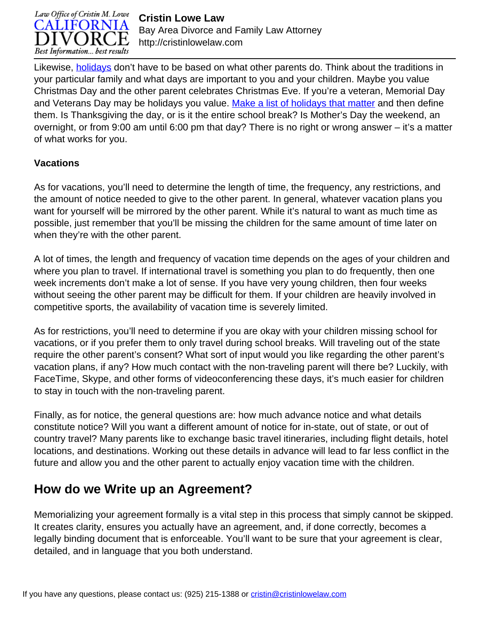

**Cristin Lowe Law** Bay Area Divorce and Family Law Attorney http://cristinlowelaw.com

Likewise, [holidays](http://cristinlowelaw.com/holidays-and-child-custody/) don't have to be based on what other parents do. Think about the traditions in your particular family and what days are important to you and your children. Maybe you value Christmas Day and the other parent celebrates Christmas Eve. If you're a veteran, Memorial Day and Veterans Day may be holidays you value. [Make a list of holidays that matter](http://cristinlowelaw.com/non-winter-holiday-child-visitation-scheduling/) and then define them. Is Thanksgiving the day, or is it the entire school break? Is Mother's Day the weekend, an overnight, or from 9:00 am until 6:00 pm that day? There is no right or wrong answer – it's a matter of what works for you.

#### **Vacations**

As for vacations, you'll need to determine the length of time, the frequency, any restrictions, and the amount of notice needed to give to the other parent. In general, whatever vacation plans you want for yourself will be mirrored by the other parent. While it's natural to want as much time as possible, just remember that you'll be missing the children for the same amount of time later on when they're with the other parent.

A lot of times, the length and frequency of vacation time depends on the ages of your children and where you plan to travel. If international travel is something you plan to do frequently, then one week increments don't make a lot of sense. If you have very young children, then four weeks without seeing the other parent may be difficult for them. If your children are heavily involved in competitive sports, the availability of vacation time is severely limited.

As for restrictions, you'll need to determine if you are okay with your children missing school for vacations, or if you prefer them to only travel during school breaks. Will traveling out of the state require the other parent's consent? What sort of input would you like regarding the other parent's vacation plans, if any? How much contact with the non-traveling parent will there be? Luckily, with FaceTime, Skype, and other forms of videoconferencing these days, it's much easier for children to stay in touch with the non-traveling parent.

Finally, as for notice, the general questions are: how much advance notice and what details constitute notice? Will you want a different amount of notice for in-state, out of state, or out of country travel? Many parents like to exchange basic travel itineraries, including flight details, hotel locations, and destinations. Working out these details in advance will lead to far less conflict in the future and allow you and the other parent to actually enjoy vacation time with the children.

## **How do we Write up an Agreement?**

Memorializing your agreement formally is a vital step in this process that simply cannot be skipped. It creates clarity, ensures you actually have an agreement, and, if done correctly, becomes a legally binding document that is enforceable. You'll want to be sure that your agreement is clear, detailed, and in language that you both understand.